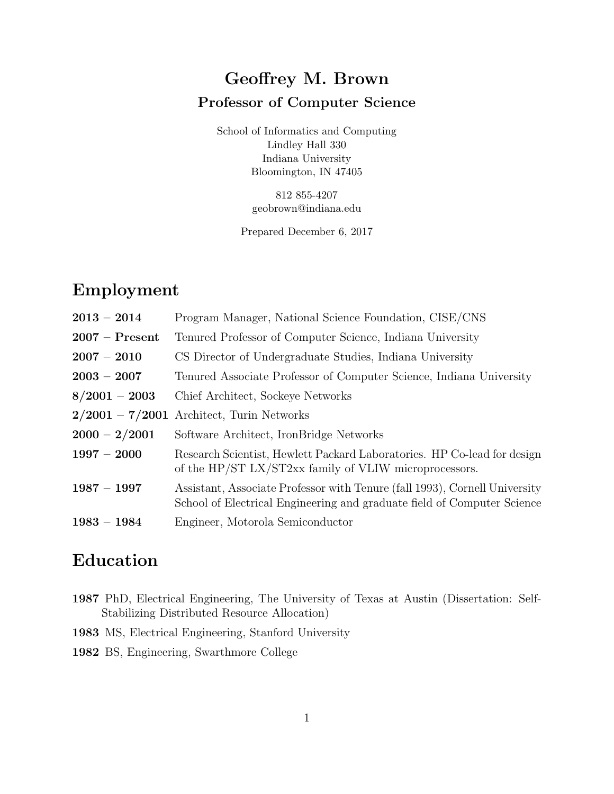# Geoffrey M. Brown Professor of Computer Science

School of Informatics and Computing Lindley Hall 330 Indiana University Bloomington, IN 47405

> 812 855-4207 geobrown@indiana.edu

Prepared December 6, 2017

### Employment

| $2013 - 2014$    | Program Manager, National Science Foundation, CISE/CNS                                                                                                |
|------------------|-------------------------------------------------------------------------------------------------------------------------------------------------------|
| $2007 -$ Present | Tenured Professor of Computer Science, Indiana University                                                                                             |
| $2007 - 2010$    | CS Director of Undergraduate Studies, Indiana University                                                                                              |
| $2003 - 2007$    | Tenured Associate Professor of Computer Science, Indiana University                                                                                   |
| $8/2001 - 2003$  | Chief Architect, Sockeye Networks                                                                                                                     |
|                  | $2/2001 - 7/2001$ Architect, Turin Networks                                                                                                           |
| $2000 - 2/2001$  | Software Architect, IronBridge Networks                                                                                                               |
| $1997 - 2000$    | Research Scientist, Hewlett Packard Laboratories. HP Co-lead for design<br>of the HP/ST LX/ST2xx family of VLIW microprocessors.                      |
| $1987 - 1997$    | Assistant, Associate Professor with Tenure (fall 1993), Cornell University<br>School of Electrical Engineering and graduate field of Computer Science |
| $1983 - 1984$    | Engineer, Motorola Semiconductor                                                                                                                      |

# Education

- 1987 PhD, Electrical Engineering, The University of Texas at Austin (Dissertation: Self-Stabilizing Distributed Resource Allocation)
- 1983 MS, Electrical Engineering, Stanford University

1982 BS, Engineering, Swarthmore College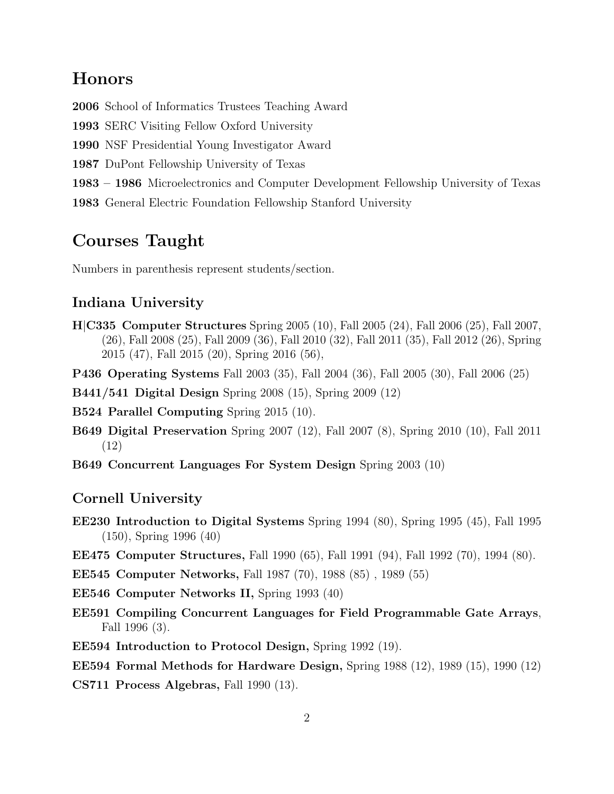#### Honors

2006 School of Informatics Trustees Teaching Award

1993 SERC Visiting Fellow Oxford University

1990 NSF Presidential Young Investigator Award

1987 DuPont Fellowship University of Texas

1983 – 1986 Microelectronics and Computer Development Fellowship University of Texas

1983 General Electric Foundation Fellowship Stanford University

#### Courses Taught

Numbers in parenthesis represent students/section.

#### Indiana University

- H|C335 Computer Structures Spring 2005 (10), Fall 2005 (24), Fall 2006 (25), Fall 2007, (26), Fall 2008 (25), Fall 2009 (36), Fall 2010 (32), Fall 2011 (35), Fall 2012 (26), Spring 2015 (47), Fall 2015 (20), Spring 2016 (56),
- P436 Operating Systems Fall 2003 (35), Fall 2004 (36), Fall 2005 (30), Fall 2006 (25)

B441/541 Digital Design Spring 2008 (15), Spring 2009 (12)

B524 Parallel Computing Spring 2015 (10).

- B649 Digital Preservation Spring 2007 (12), Fall 2007 (8), Spring 2010 (10), Fall 2011 (12)
- B649 Concurrent Languages For System Design Spring 2003 (10)

#### Cornell University

- EE230 Introduction to Digital Systems Spring 1994 (80), Spring 1995 (45), Fall 1995 (150), Spring 1996 (40)
- EE475 Computer Structures, Fall 1990 (65), Fall 1991 (94), Fall 1992 (70), 1994 (80).

EE545 Computer Networks, Fall 1987 (70), 1988 (85) , 1989 (55)

EE546 Computer Networks II, Spring 1993 (40)

- EE591 Compiling Concurrent Languages for Field Programmable Gate Arrays, Fall 1996 (3).
- EE594 Introduction to Protocol Design, Spring 1992 (19).

EE594 Formal Methods for Hardware Design, Spring 1988 (12), 1989 (15), 1990 (12)

CS711 Process Algebras, Fall 1990 (13).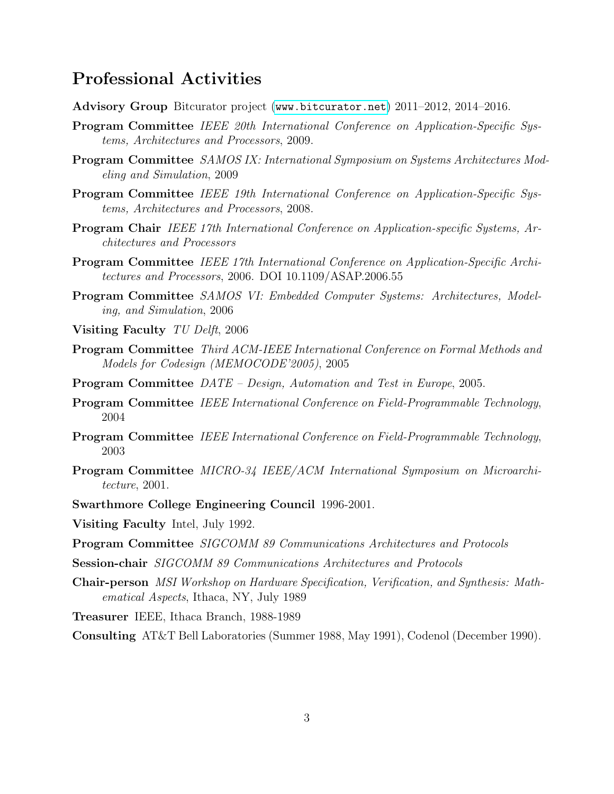#### Professional Activities

- Advisory Group Bitcurator project (<www.bitcurator.net>) 2011–2012, 2014–2016.
- Program Committee IEEE 20th International Conference on Application-Specific Systems, Architectures and Processors, 2009.
- Program Committee SAMOS IX: International Symposium on Systems Architectures Modeling and Simulation, 2009
- Program Committee IEEE 19th International Conference on Application-Specific Systems, Architectures and Processors, 2008.
- Program Chair IEEE 17th International Conference on Application-specific Systems, Architectures and Processors
- Program Committee IEEE 17th International Conference on Application-Specific Architectures and Processors, 2006. DOI 10.1109/ASAP.2006.55
- Program Committee SAMOS VI: Embedded Computer Systems: Architectures, Modeling, and Simulation, 2006
- Visiting Faculty TU Delft, 2006
- Program Committee Third ACM-IEEE International Conference on Formal Methods and Models for Codesign (MEMOCODE'2005), 2005
- Program Committee DATE Design, Automation and Test in Europe, 2005.
- Program Committee IEEE International Conference on Field-Programmable Technology, 2004
- Program Committee IEEE International Conference on Field-Programmable Technology, 2003
- Program Committee MICRO-34 IEEE/ACM International Symposium on Microarchitecture, 2001.
- Swarthmore College Engineering Council 1996-2001.
- Visiting Faculty Intel, July 1992.
- Program Committee SIGCOMM 89 Communications Architectures and Protocols
- Session-chair SIGCOMM 89 Communications Architectures and Protocols
- Chair-person MSI Workshop on Hardware Specification, Verification, and Synthesis: Mathematical Aspects, Ithaca, NY, July 1989
- Treasurer IEEE, Ithaca Branch, 1988-1989

Consulting AT&T Bell Laboratories (Summer 1988, May 1991), Codenol (December 1990).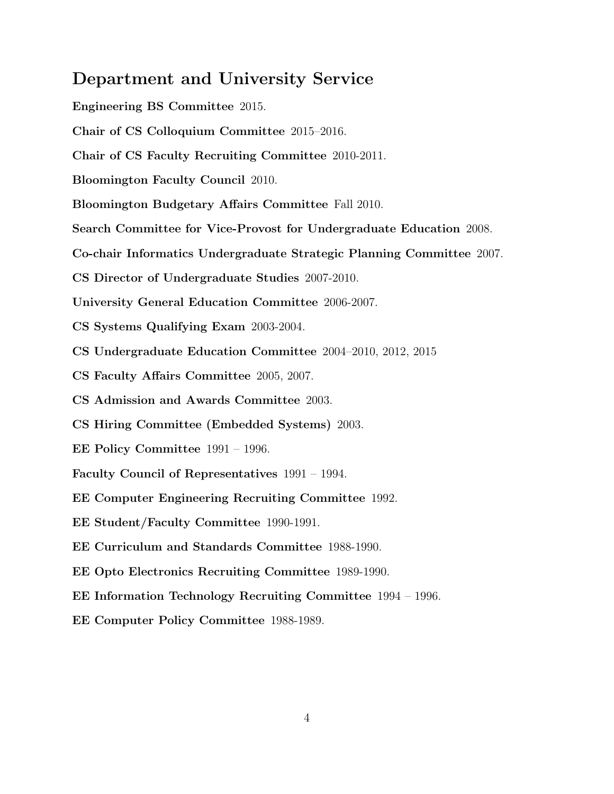#### Department and University Service

Engineering BS Committee 2015.

- Chair of CS Colloquium Committee 2015–2016.
- Chair of CS Faculty Recruiting Committee 2010-2011.
- Bloomington Faculty Council 2010.
- Bloomington Budgetary Affairs Committee Fall 2010.
- Search Committee for Vice-Provost for Undergraduate Education 2008.
- Co-chair Informatics Undergraduate Strategic Planning Committee 2007.
- CS Director of Undergraduate Studies 2007-2010.
- University General Education Committee 2006-2007.
- CS Systems Qualifying Exam 2003-2004.
- CS Undergraduate Education Committee 2004–2010, 2012, 2015
- CS Faculty Affairs Committee 2005, 2007.
- CS Admission and Awards Committee 2003.
- CS Hiring Committee (Embedded Systems) 2003.
- EE Policy Committee 1991 1996.
- Faculty Council of Representatives 1991 1994.
- EE Computer Engineering Recruiting Committee 1992.
- EE Student/Faculty Committee 1990-1991.
- EE Curriculum and Standards Committee 1988-1990.
- EE Opto Electronics Recruiting Committee 1989-1990.
- EE Information Technology Recruiting Committee 1994 1996.
- EE Computer Policy Committee 1988-1989.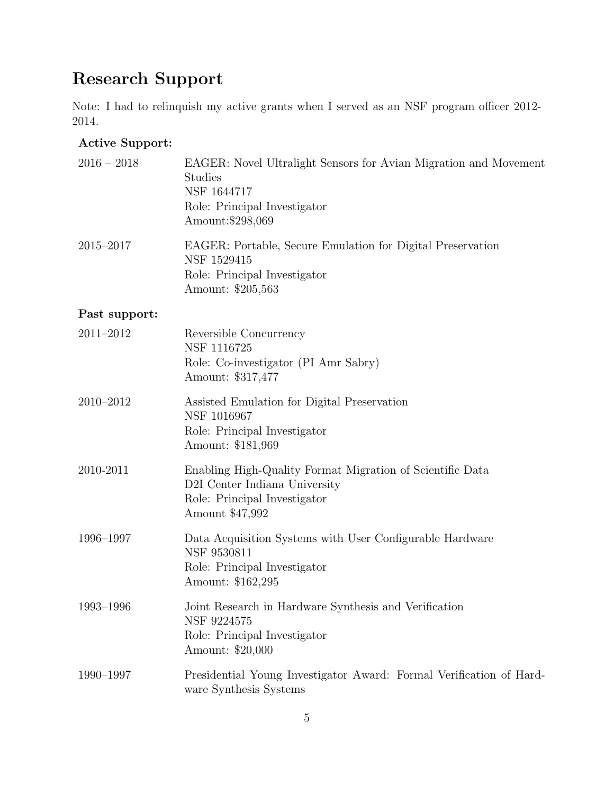# Research Support

Note: I had to relinquish my active grants when I served as an NSF program officer 2012- 2014.

#### Active Support:

| $2016 - 2018$ | EAGER: Novel Ultralight Sensors for Avian Migration and Movement<br><b>Studies</b><br>NSF 1644717<br>Role: Principal Investigator<br>Amount:\$298,069 |
|---------------|-------------------------------------------------------------------------------------------------------------------------------------------------------|
| $2015 - 2017$ | EAGER: Portable, Secure Emulation for Digital Preservation<br>NSF 1529415<br>Role: Principal Investigator<br>Amount: \$205,563                        |
| Past support: |                                                                                                                                                       |
| 2011-2012     | Reversible Concurrency<br>NSF 1116725<br>Role: Co-investigator (PI Amr Sabry)<br>Amount: \$317,477                                                    |
| $2010 - 2012$ | Assisted Emulation for Digital Preservation<br>NSF 1016967<br>Role: Principal Investigator<br>Amount: \$181,969                                       |
| 2010-2011     | Enabling High-Quality Format Migration of Scientific Data<br>D2I Center Indiana University<br>Role: Principal Investigator<br>Amount \$47,992         |
| 1996-1997     | Data Acquisition Systems with User Configurable Hardware<br>NSF 9530811<br>Role: Principal Investigator<br>Amount: \$162,295                          |
| $1993 - 1996$ | Joint Research in Hardware Synthesis and Verification<br>NSF 9224575<br>Role: Principal Investigator<br>Amount: \$20,000                              |
| 1990-1997     | Presidential Young Investigator Award: Formal Verification of Hard-<br>ware Synthesis Systems                                                         |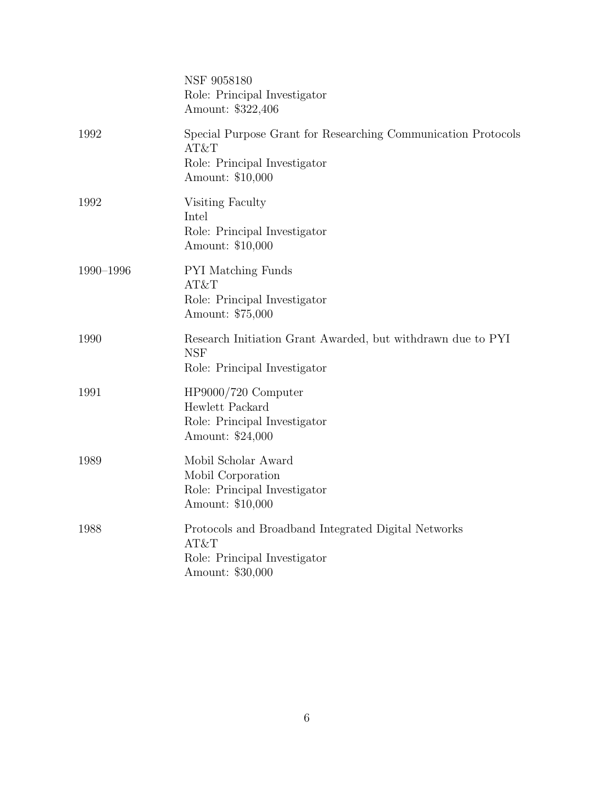|           | NSF 9058180<br>Role: Principal Investigator<br>Amount: \$322,406                                                          |
|-----------|---------------------------------------------------------------------------------------------------------------------------|
| 1992      | Special Purpose Grant for Researching Communication Protocols<br>AT&T<br>Role: Principal Investigator<br>Amount: \$10,000 |
| 1992      | Visiting Faculty<br>Intel<br>Role: Principal Investigator<br>Amount: \$10,000                                             |
| 1990-1996 | <b>PYI</b> Matching Funds<br>AT&T<br>Role: Principal Investigator<br>Amount: \$75,000                                     |
| 1990      | Research Initiation Grant Awarded, but withdrawn due to PYI<br><b>NSF</b><br>Role: Principal Investigator                 |
| 1991      | HP9000/720 Computer<br>Hewlett Packard<br>Role: Principal Investigator<br>Amount: \$24,000                                |
| 1989      | Mobil Scholar Award<br>Mobil Corporation<br>Role: Principal Investigator<br>Amount: \$10,000                              |
| 1988      | Protocols and Broadband Integrated Digital Networks<br>AT&T<br>Role: Principal Investigator<br>Amount: \$30,000           |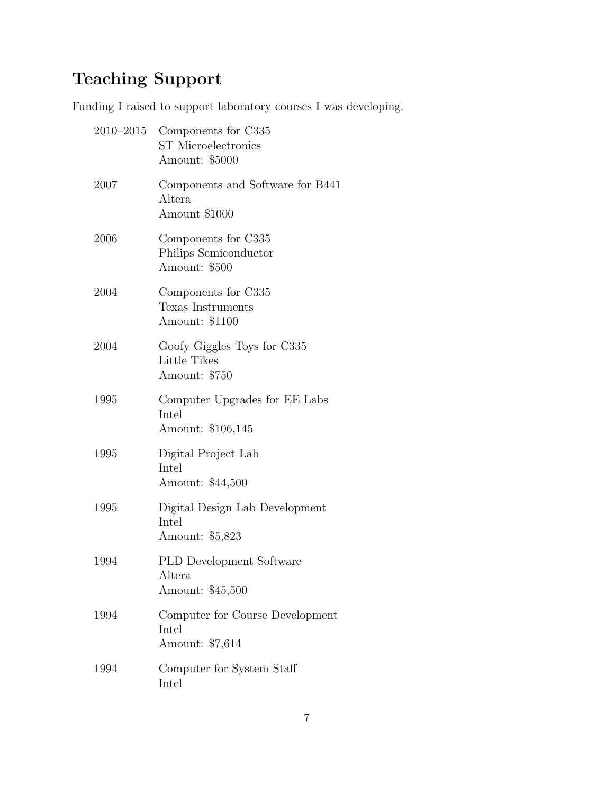# Teaching Support

Funding I raised to support laboratory courses I was developing.

| $2010 - 2015$ | Components for C335<br><b>ST</b> Microelectronics<br>Amount: \$5000 |
|---------------|---------------------------------------------------------------------|
| 2007          | Components and Software for B441<br>Altera<br>Amount \$1000         |
| 2006          | Components for C335<br>Philips Semiconductor<br>Amount: \$500       |
| 2004          | Components for C335<br>Texas Instruments<br>Amount: \$1100          |
| 2004          | Goofy Giggles Toys for C335<br>Little Tikes<br>Amount: \$750        |
| 1995          | Computer Upgrades for EE Labs<br>Intel<br>Amount: \$106,145         |
| 1995          | Digital Project Lab<br>Intel<br>Amount: \$44,500                    |
| 1995          | Digital Design Lab Development<br>Intel<br>Amount: \$5,823          |
| 1994          | <b>PLD</b> Development Software<br>Altera<br>Amount: \$45,500       |
| 1994          | Computer for Course Development<br>Intel<br>Amount: \$7,614         |
| 1994          | Computer for System Staff<br>Intel                                  |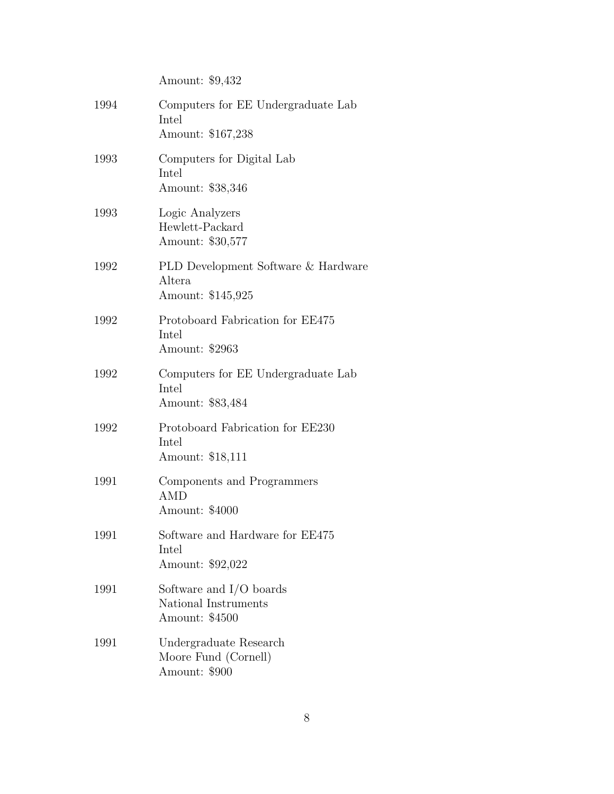|      | Amount: \$9,432                                                     |
|------|---------------------------------------------------------------------|
| 1994 | Computers for EE Undergraduate Lab<br>Intel<br>Amount: \$167,238    |
| 1993 | Computers for Digital Lab<br>Intel<br>Amount: \$38,346              |
| 1993 | Logic Analyzers<br>Hewlett-Packard<br>Amount: \$30,577              |
| 1992 | PLD Development Software & Hardware<br>Altera<br>Amount: \$145,925  |
| 1992 | Protoboard Fabrication for EE475<br>Intel<br>Amount: \$2963         |
| 1992 | Computers for EE Undergraduate Lab<br>Intel<br>Amount: \$83,484     |
| 1992 | Protoboard Fabrication for EE230<br>Intel<br>Amount: \$18,111       |
| 1991 | Components and Programmers<br>AMD<br>Amount: \$4000                 |
| 1991 | Software and Hardware for EE475<br>Intel<br>Amount: \$92,022        |
| 1991 | Software and $I/O$ boards<br>National Instruments<br>Amount: \$4500 |
| 1991 | Undergraduate Research<br>Moore Fund (Cornell)<br>Amount: \$900     |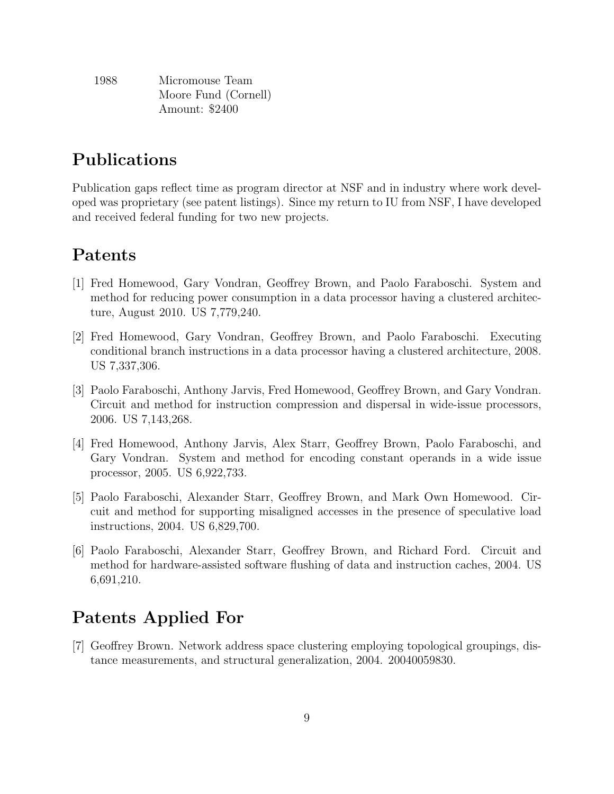| 1988 | Micromouse Team      |
|------|----------------------|
|      | Moore Fund (Cornell) |
|      | Amount: \$2400       |

## Publications

Publication gaps reflect time as program director at NSF and in industry where work developed was proprietary (see patent listings). Since my return to IU from NSF, I have developed and received federal funding for two new projects.

### Patents

- [1] Fred Homewood, Gary Vondran, Geoffrey Brown, and Paolo Faraboschi. System and method for reducing power consumption in a data processor having a clustered architecture, August 2010. US 7,779,240.
- [2] Fred Homewood, Gary Vondran, Geoffrey Brown, and Paolo Faraboschi. Executing conditional branch instructions in a data processor having a clustered architecture, 2008. US 7,337,306.
- [3] Paolo Faraboschi, Anthony Jarvis, Fred Homewood, Geoffrey Brown, and Gary Vondran. Circuit and method for instruction compression and dispersal in wide-issue processors, 2006. US 7,143,268.
- [4] Fred Homewood, Anthony Jarvis, Alex Starr, Geoffrey Brown, Paolo Faraboschi, and Gary Vondran. System and method for encoding constant operands in a wide issue processor, 2005. US 6,922,733.
- [5] Paolo Faraboschi, Alexander Starr, Geoffrey Brown, and Mark Own Homewood. Circuit and method for supporting misaligned accesses in the presence of speculative load instructions, 2004. US 6,829,700.
- [6] Paolo Faraboschi, Alexander Starr, Geoffrey Brown, and Richard Ford. Circuit and method for hardware-assisted software flushing of data and instruction caches, 2004. US 6,691,210.

# Patents Applied For

[7] Geoffrey Brown. Network address space clustering employing topological groupings, distance measurements, and structural generalization, 2004. 20040059830.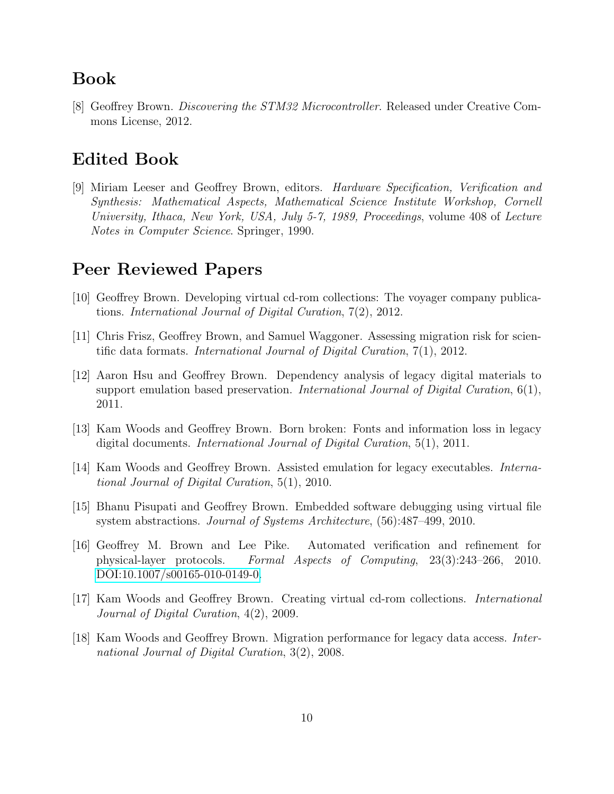#### Book

[8] Geoffrey Brown. Discovering the STM32 Microcontroller. Released under Creative Commons License, 2012.

#### Edited Book

[9] Miriam Leeser and Geoffrey Brown, editors. Hardware Specification, Verification and Synthesis: Mathematical Aspects, Mathematical Science Institute Workshop, Cornell University, Ithaca, New York, USA, July 5-7, 1989, Proceedings, volume 408 of Lecture Notes in Computer Science. Springer, 1990.

# Peer Reviewed Papers

- [10] Geoffrey Brown. Developing virtual cd-rom collections: The voyager company publications. International Journal of Digital Curation, 7(2), 2012.
- [11] Chris Frisz, Geoffrey Brown, and Samuel Waggoner. Assessing migration risk for scientific data formats. International Journal of Digital Curation, 7(1), 2012.
- [12] Aaron Hsu and Geoffrey Brown. Dependency analysis of legacy digital materials to support emulation based preservation. International Journal of Digital Curation,  $6(1)$ , 2011.
- [13] Kam Woods and Geoffrey Brown. Born broken: Fonts and information loss in legacy digital documents. International Journal of Digital Curation, 5(1), 2011.
- [14] Kam Woods and Geoffrey Brown. Assisted emulation for legacy executables. International Journal of Digital Curation, 5(1), 2010.
- [15] Bhanu Pisupati and Geoffrey Brown. Embedded software debugging using virtual file system abstractions. Journal of Systems Architecture, (56):487–499, 2010.
- [16] Geoffrey M. Brown and Lee Pike. Automated verification and refinement for physical-layer protocols. Formal Aspects of Computing, 23(3):243–266, 2010. [DOI:10.1007/s00165-010-0149-0.](http://www.springerlink.com/content/u2q65n1q83670u7t/?p=939ff53dc36d40bb95de98d4994c28f4&pi=0)
- [17] Kam Woods and Geoffrey Brown. Creating virtual cd-rom collections. International Journal of Digital Curation, 4(2), 2009.
- [18] Kam Woods and Geoffrey Brown. Migration performance for legacy data access. International Journal of Digital Curation, 3(2), 2008.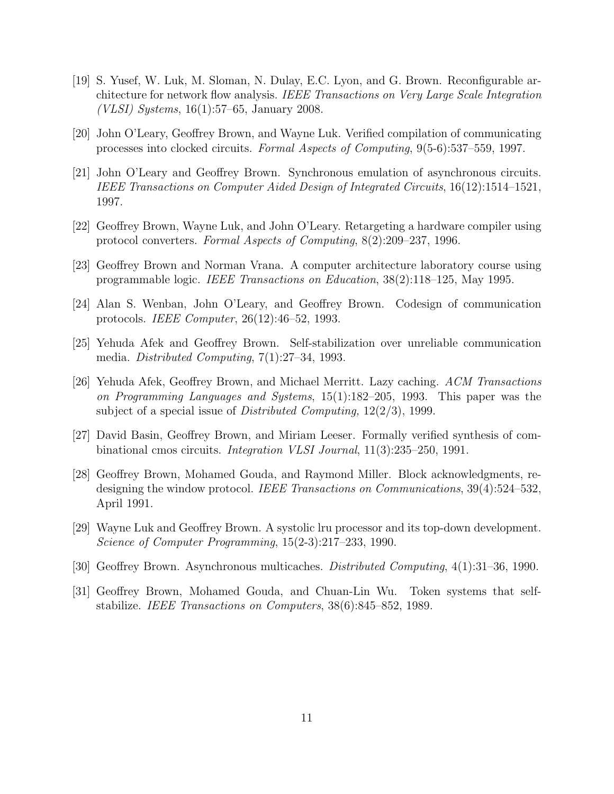- [19] S. Yusef, W. Luk, M. Sloman, N. Dulay, E.C. Lyon, and G. Brown. Reconfigurable architecture for network flow analysis. IEEE Transactions on Very Large Scale Integration (VLSI) Systems, 16(1):57–65, January 2008.
- [20] John O'Leary, Geoffrey Brown, and Wayne Luk. Verified compilation of communicating processes into clocked circuits. Formal Aspects of Computing, 9(5-6):537–559, 1997.
- [21] John O'Leary and Geoffrey Brown. Synchronous emulation of asynchronous circuits. IEEE Transactions on Computer Aided Design of Integrated Circuits, 16(12):1514–1521, 1997.
- [22] Geoffrey Brown, Wayne Luk, and John O'Leary. Retargeting a hardware compiler using protocol converters. Formal Aspects of Computing, 8(2):209–237, 1996.
- [23] Geoffrey Brown and Norman Vrana. A computer architecture laboratory course using programmable logic. IEEE Transactions on Education, 38(2):118–125, May 1995.
- [24] Alan S. Wenban, John O'Leary, and Geoffrey Brown. Codesign of communication protocols. IEEE Computer, 26(12):46–52, 1993.
- [25] Yehuda Afek and Geoffrey Brown. Self-stabilization over unreliable communication media. Distributed Computing, 7(1):27–34, 1993.
- [26] Yehuda Afek, Geoffrey Brown, and Michael Merritt. Lazy caching. ACM Transactions on Programming Languages and Systems, 15(1):182–205, 1993. This paper was the subject of a special issue of *Distributed Computing*,  $12(2/3)$ , 1999.
- [27] David Basin, Geoffrey Brown, and Miriam Leeser. Formally verified synthesis of combinational cmos circuits. Integration VLSI Journal, 11(3):235–250, 1991.
- [28] Geoffrey Brown, Mohamed Gouda, and Raymond Miller. Block acknowledgments, redesigning the window protocol. IEEE Transactions on Communications, 39(4):524–532, April 1991.
- [29] Wayne Luk and Geoffrey Brown. A systolic lru processor and its top-down development. Science of Computer Programming, 15(2-3):217–233, 1990.
- [30] Geoffrey Brown. Asynchronous multicaches. Distributed Computing, 4(1):31–36, 1990.
- [31] Geoffrey Brown, Mohamed Gouda, and Chuan-Lin Wu. Token systems that selfstabilize. IEEE Transactions on Computers, 38(6):845–852, 1989.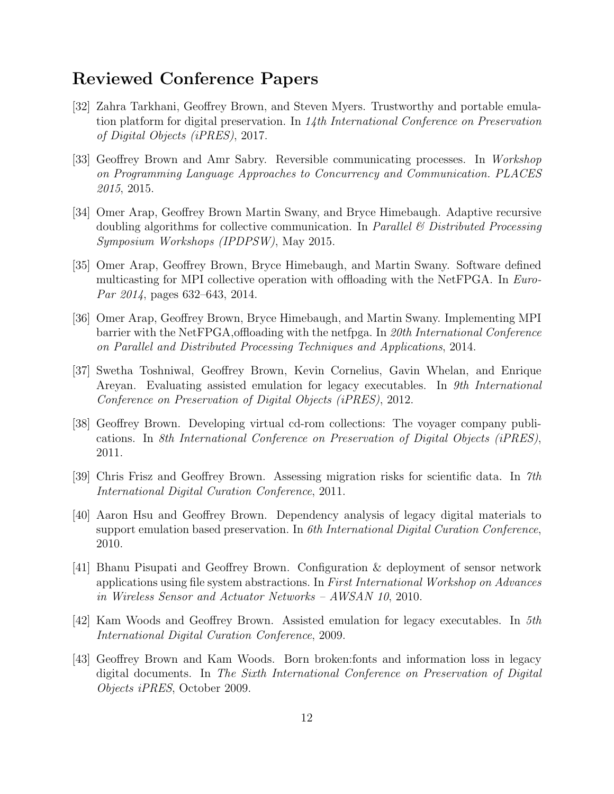#### Reviewed Conference Papers

- [32] Zahra Tarkhani, Geoffrey Brown, and Steven Myers. Trustworthy and portable emulation platform for digital preservation. In  $14$ th International Conference on Preservation of Digital Objects (iPRES), 2017.
- [33] Geoffrey Brown and Amr Sabry. Reversible communicating processes. In Workshop on Programming Language Approaches to Concurrency and Communication. PLACES 2015, 2015.
- [34] Omer Arap, Geoffrey Brown Martin Swany, and Bryce Himebaugh. Adaptive recursive doubling algorithms for collective communication. In Parallel  $\mathcal B$  Distributed Processing Symposium Workshops (IPDPSW), May 2015.
- [35] Omer Arap, Geoffrey Brown, Bryce Himebaugh, and Martin Swany. Software defined multicasting for MPI collective operation with offloading with the NetFPGA. In Euro-Par 2014, pages 632–643, 2014.
- [36] Omer Arap, Geoffrey Brown, Bryce Himebaugh, and Martin Swany. Implementing MPI barrier with the NetFPGA,offloading with the netfpga. In 20th International Conference on Parallel and Distributed Processing Techniques and Applications, 2014.
- [37] Swetha Toshniwal, Geoffrey Brown, Kevin Cornelius, Gavin Whelan, and Enrique Areyan. Evaluating assisted emulation for legacy executables. In 9th International Conference on Preservation of Digital Objects (iPRES), 2012.
- [38] Geoffrey Brown. Developing virtual cd-rom collections: The voyager company publications. In 8th International Conference on Preservation of Digital Objects (iPRES), 2011.
- [39] Chris Frisz and Geoffrey Brown. Assessing migration risks for scientific data. In 7th International Digital Curation Conference, 2011.
- [40] Aaron Hsu and Geoffrey Brown. Dependency analysis of legacy digital materials to support emulation based preservation. In 6th International Digital Curation Conference, 2010.
- [41] Bhanu Pisupati and Geoffrey Brown. Configuration & deployment of sensor network applications using file system abstractions. In First International Workshop on Advances in Wireless Sensor and Actuator Networks – AWSAN 10, 2010.
- [42] Kam Woods and Geoffrey Brown. Assisted emulation for legacy executables. In 5th International Digital Curation Conference, 2009.
- [43] Geoffrey Brown and Kam Woods. Born broken:fonts and information loss in legacy digital documents. In The Sixth International Conference on Preservation of Digital Objects iPRES, October 2009.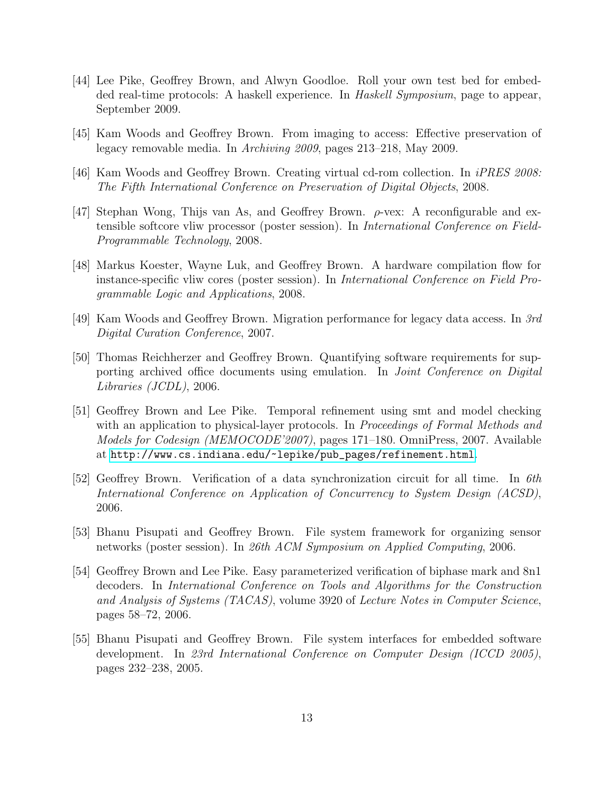- [44] Lee Pike, Geoffrey Brown, and Alwyn Goodloe. Roll your own test bed for embedded real-time protocols: A haskell experience. In Haskell Symposium, page to appear, September 2009.
- [45] Kam Woods and Geoffrey Brown. From imaging to access: Effective preservation of legacy removable media. In Archiving 2009, pages 213–218, May 2009.
- [46] Kam Woods and Geoffrey Brown. Creating virtual cd-rom collection. In iPRES 2008: The Fifth International Conference on Preservation of Digital Objects, 2008.
- [47] Stephan Wong, Thijs van As, and Geoffrey Brown.  $\rho$ -vex: A reconfigurable and extensible softcore vliw processor (poster session). In *International Conference on Field-*Programmable Technology, 2008.
- [48] Markus Koester, Wayne Luk, and Geoffrey Brown. A hardware compilation flow for instance-specific vliw cores (poster session). In International Conference on Field Programmable Logic and Applications, 2008.
- [49] Kam Woods and Geoffrey Brown. Migration performance for legacy data access. In 3rd Digital Curation Conference, 2007.
- [50] Thomas Reichherzer and Geoffrey Brown. Quantifying software requirements for supporting archived office documents using emulation. In *Joint Conference on Digital* Libraries (JCDL), 2006.
- [51] Geoffrey Brown and Lee Pike. Temporal refinement using smt and model checking with an application to physical-layer protocols. In *Proceedings of Formal Methods and* Models for Codesign (MEMOCODE'2007), pages 171–180. OmniPress, 2007. Available at [http://www.cs.indiana.edu/~lepike/pub\\_pages/refinement.html](http://www.cs.indiana.edu/~lepike/pub_pages/refinement.html).
- [52] Geoffrey Brown. Verification of a data synchronization circuit for all time. In 6th International Conference on Application of Concurrency to System Design (ACSD), 2006.
- [53] Bhanu Pisupati and Geoffrey Brown. File system framework for organizing sensor networks (poster session). In 26th ACM Symposium on Applied Computing, 2006.
- [54] Geoffrey Brown and Lee Pike. Easy parameterized verification of biphase mark and 8n1 decoders. In International Conference on Tools and Algorithms for the Construction and Analysis of Systems (TACAS), volume 3920 of Lecture Notes in Computer Science, pages 58–72, 2006.
- [55] Bhanu Pisupati and Geoffrey Brown. File system interfaces for embedded software development. In 23rd International Conference on Computer Design (ICCD 2005), pages 232–238, 2005.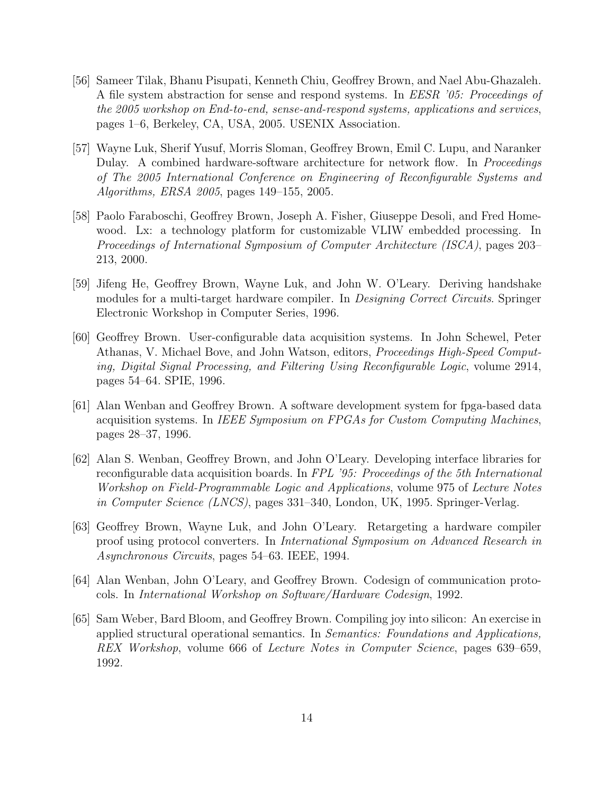- [56] Sameer Tilak, Bhanu Pisupati, Kenneth Chiu, Geoffrey Brown, and Nael Abu-Ghazaleh. A file system abstraction for sense and respond systems. In EESR '05: Proceedings of the 2005 workshop on End-to-end, sense-and-respond systems, applications and services, pages 1–6, Berkeley, CA, USA, 2005. USENIX Association.
- [57] Wayne Luk, Sherif Yusuf, Morris Sloman, Geoffrey Brown, Emil C. Lupu, and Naranker Dulay. A combined hardware-software architecture for network flow. In *Proceedings* of The 2005 International Conference on Engineering of Reconfigurable Systems and Algorithms, ERSA 2005, pages 149–155, 2005.
- [58] Paolo Faraboschi, Geoffrey Brown, Joseph A. Fisher, Giuseppe Desoli, and Fred Homewood. Lx: a technology platform for customizable VLIW embedded processing. In Proceedings of International Symposium of Computer Architecture (ISCA), pages 203– 213, 2000.
- [59] Jifeng He, Geoffrey Brown, Wayne Luk, and John W. O'Leary. Deriving handshake modules for a multi-target hardware compiler. In *Designing Correct Circuits*. Springer Electronic Workshop in Computer Series, 1996.
- [60] Geoffrey Brown. User-configurable data acquisition systems. In John Schewel, Peter Athanas, V. Michael Bove, and John Watson, editors, Proceedings High-Speed Computing, Digital Signal Processing, and Filtering Using Reconfigurable Logic, volume 2914, pages 54–64. SPIE, 1996.
- [61] Alan Wenban and Geoffrey Brown. A software development system for fpga-based data acquisition systems. In IEEE Symposium on FPGAs for Custom Computing Machines, pages 28–37, 1996.
- [62] Alan S. Wenban, Geoffrey Brown, and John O'Leary. Developing interface libraries for reconfigurable data acquisition boards. In FPL '95: Proceedings of the 5th International Workshop on Field-Programmable Logic and Applications, volume 975 of Lecture Notes in Computer Science (LNCS), pages 331–340, London, UK, 1995. Springer-Verlag.
- [63] Geoffrey Brown, Wayne Luk, and John O'Leary. Retargeting a hardware compiler proof using protocol converters. In International Symposium on Advanced Research in Asynchronous Circuits, pages 54–63. IEEE, 1994.
- [64] Alan Wenban, John O'Leary, and Geoffrey Brown. Codesign of communication protocols. In International Workshop on Software/Hardware Codesign, 1992.
- [65] Sam Weber, Bard Bloom, and Geoffrey Brown. Compiling joy into silicon: An exercise in applied structural operational semantics. In Semantics: Foundations and Applications, REX Workshop, volume 666 of Lecture Notes in Computer Science, pages 639–659, 1992.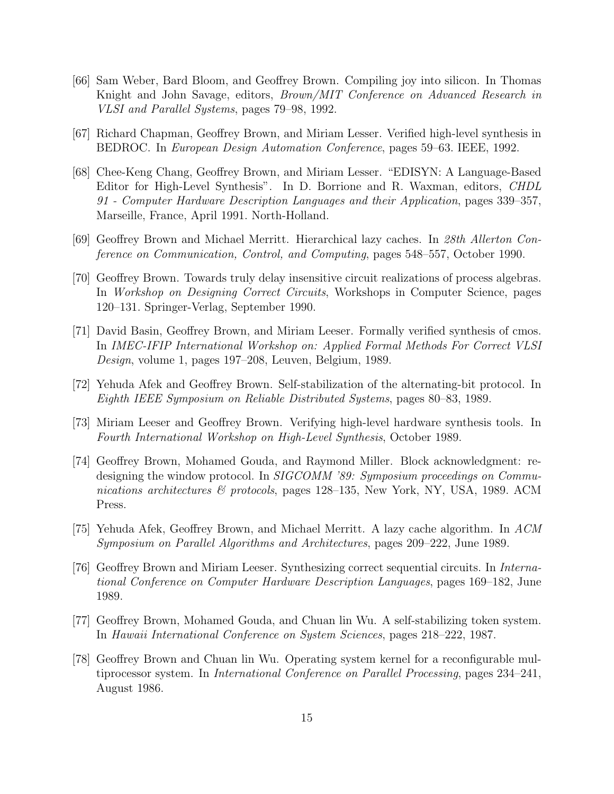- [66] Sam Weber, Bard Bloom, and Geoffrey Brown. Compiling joy into silicon. In Thomas Knight and John Savage, editors, Brown/MIT Conference on Advanced Research in VLSI and Parallel Systems, pages 79–98, 1992.
- [67] Richard Chapman, Geoffrey Brown, and Miriam Lesser. Verified high-level synthesis in BEDROC. In European Design Automation Conference, pages 59–63. IEEE, 1992.
- [68] Chee-Keng Chang, Geoffrey Brown, and Miriam Lesser. "EDISYN: A Language-Based Editor for High-Level Synthesis". In D. Borrione and R. Waxman, editors, CHDL 91 - Computer Hardware Description Languages and their Application, pages 339–357, Marseille, France, April 1991. North-Holland.
- [69] Geoffrey Brown and Michael Merritt. Hierarchical lazy caches. In 28th Allerton Conference on Communication, Control, and Computing, pages 548–557, October 1990.
- [70] Geoffrey Brown. Towards truly delay insensitive circuit realizations of process algebras. In Workshop on Designing Correct Circuits, Workshops in Computer Science, pages 120–131. Springer-Verlag, September 1990.
- [71] David Basin, Geoffrey Brown, and Miriam Leeser. Formally verified synthesis of cmos. In IMEC-IFIP International Workshop on: Applied Formal Methods For Correct VLSI Design, volume 1, pages 197–208, Leuven, Belgium, 1989.
- [72] Yehuda Afek and Geoffrey Brown. Self-stabilization of the alternating-bit protocol. In Eighth IEEE Symposium on Reliable Distributed Systems, pages 80–83, 1989.
- [73] Miriam Leeser and Geoffrey Brown. Verifying high-level hardware synthesis tools. In Fourth International Workshop on High-Level Synthesis, October 1989.
- [74] Geoffrey Brown, Mohamed Gouda, and Raymond Miller. Block acknowledgment: redesigning the window protocol. In SIGCOMM '89: Symposium proceedings on Communications architectures & protocols, pages 128–135, New York, NY, USA, 1989. ACM Press.
- [75] Yehuda Afek, Geoffrey Brown, and Michael Merritt. A lazy cache algorithm. In ACM Symposium on Parallel Algorithms and Architectures, pages 209–222, June 1989.
- [76] Geoffrey Brown and Miriam Leeser. Synthesizing correct sequential circuits. In International Conference on Computer Hardware Description Languages, pages 169–182, June 1989.
- [77] Geoffrey Brown, Mohamed Gouda, and Chuan lin Wu. A self-stabilizing token system. In Hawaii International Conference on System Sciences, pages 218–222, 1987.
- [78] Geoffrey Brown and Chuan lin Wu. Operating system kernel for a reconfigurable multiprocessor system. In International Conference on Parallel Processing, pages 234–241, August 1986.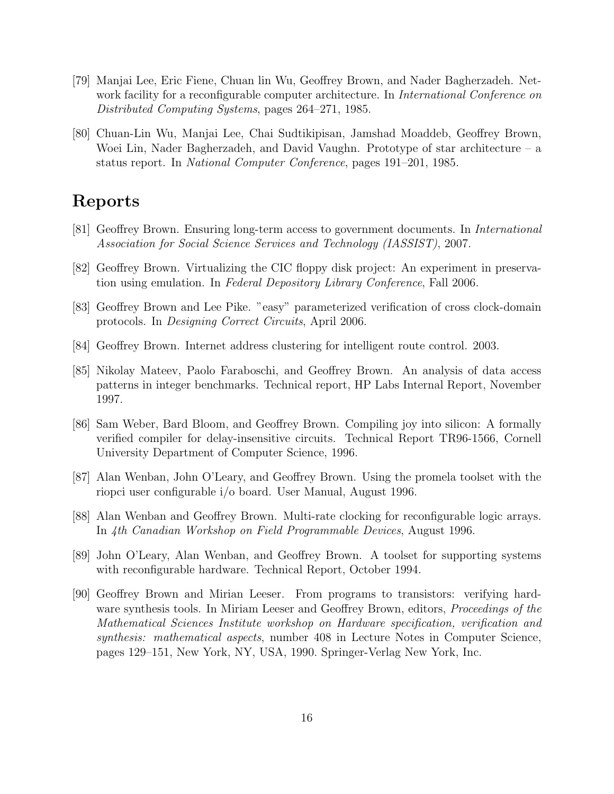- [79] Manjai Lee, Eric Fiene, Chuan lin Wu, Geoffrey Brown, and Nader Bagherzadeh. Network facility for a reconfigurable computer architecture. In *International Conference on* Distributed Computing Systems, pages 264–271, 1985.
- [80] Chuan-Lin Wu, Manjai Lee, Chai Sudtikipisan, Jamshad Moaddeb, Geoffrey Brown, Woei Lin, Nader Bagherzadeh, and David Vaughn. Prototype of star architecture – a status report. In National Computer Conference, pages 191–201, 1985.

#### Reports

- [81] Geoffrey Brown. Ensuring long-term access to government documents. In International Association for Social Science Services and Technology (IASSIST), 2007.
- [82] Geoffrey Brown. Virtualizing the CIC floppy disk project: An experiment in preservation using emulation. In Federal Depository Library Conference, Fall 2006.
- [83] Geoffrey Brown and Lee Pike. "easy" parameterized verification of cross clock-domain protocols. In Designing Correct Circuits, April 2006.
- [84] Geoffrey Brown. Internet address clustering for intelligent route control. 2003.
- [85] Nikolay Mateev, Paolo Faraboschi, and Geoffrey Brown. An analysis of data access patterns in integer benchmarks. Technical report, HP Labs Internal Report, November 1997.
- [86] Sam Weber, Bard Bloom, and Geoffrey Brown. Compiling joy into silicon: A formally verified compiler for delay-insensitive circuits. Technical Report TR96-1566, Cornell University Department of Computer Science, 1996.
- [87] Alan Wenban, John O'Leary, and Geoffrey Brown. Using the promela toolset with the riopci user configurable i/o board. User Manual, August 1996.
- [88] Alan Wenban and Geoffrey Brown. Multi-rate clocking for reconfigurable logic arrays. In 4th Canadian Workshop on Field Programmable Devices, August 1996.
- [89] John O'Leary, Alan Wenban, and Geoffrey Brown. A toolset for supporting systems with reconfigurable hardware. Technical Report, October 1994.
- [90] Geoffrey Brown and Mirian Leeser. From programs to transistors: verifying hardware synthesis tools. In Miriam Leeser and Geoffrey Brown, editors, *Proceedings of the* Mathematical Sciences Institute workshop on Hardware specification, verification and synthesis: mathematical aspects, number 408 in Lecture Notes in Computer Science, pages 129–151, New York, NY, USA, 1990. Springer-Verlag New York, Inc.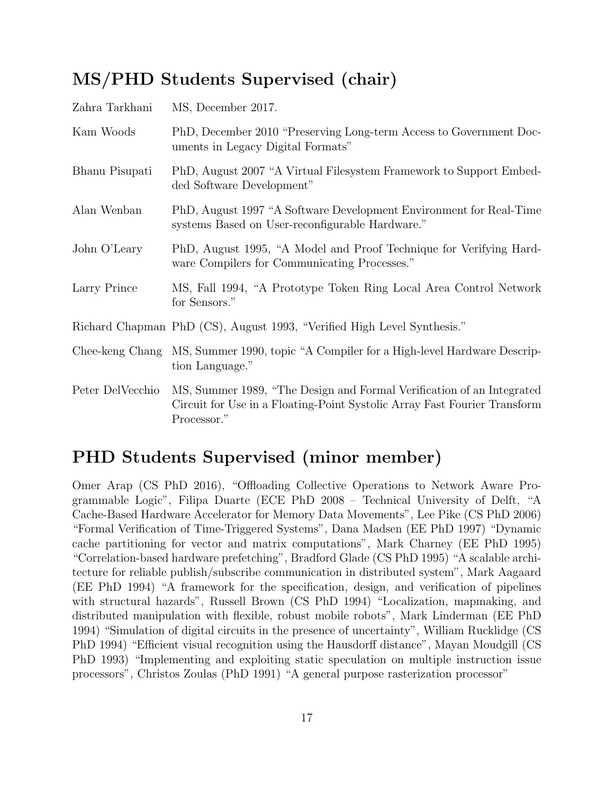# MS/PHD Students Supervised (chair)

| Zahra Tarkhani   | MS, December 2017.                                                                                                                                                |
|------------------|-------------------------------------------------------------------------------------------------------------------------------------------------------------------|
| Kam Woods        | PhD, December 2010 "Preserving Long-term Access to Government Doc-<br>uments in Legacy Digital Formats"                                                           |
| Bhanu Pisupati   | PhD, August 2007 "A Virtual Filesystem Framework to Support Embed-<br>ded Software Development"                                                                   |
| Alan Wenban      | PhD, August 1997 "A Software Development Environment for Real-Time<br>systems Based on User-reconfigurable Hardware."                                             |
| John O'Leary     | PhD, August 1995, "A Model and Proof Technique for Verifying Hard-<br>ware Compilers for Communicating Processes."                                                |
| Larry Prince     | MS, Fall 1994, "A Prototype Token Ring Local Area Control Network<br>for Sensors."                                                                                |
|                  | Richard Chapman PhD (CS), August 1993, "Verified High Level Synthesis."                                                                                           |
|                  | Chee-keng Chang MS, Summer 1990, topic "A Compiler for a High-level Hardware Descrip-<br>tion Language."                                                          |
| Peter DelVecchio | MS, Summer 1989, "The Design and Formal Verification of an Integrated<br>Circuit for Use in a Floating-Point Systolic Array Fast Fourier Transform<br>Processor." |

## PHD Students Supervised (minor member)

Omer Arap (CS PhD 2016), "Offloading Collective Operations to Network Aware Programmable Logic", Filipa Duarte (ECE PhD 2008 – Technical University of Delft, "A Cache-Based Hardware Accelerator for Memory Data Movements", Lee Pike (CS PhD 2006) "Formal Verification of Time-Triggered Systems", Dana Madsen (EE PhD 1997) "Dynamic cache partitioning for vector and matrix computations", Mark Charney (EE PhD 1995) "Correlation-based hardware prefetching", Bradford Glade (CS PhD 1995) "A scalable architecture for reliable publish/subscribe communication in distributed system", Mark Aagaard (EE PhD 1994) "A framework for the specification, design, and verification of pipelines with structural hazards", Russell Brown (CS PhD 1994) "Localization, mapmaking, and distributed manipulation with flexible, robust mobile robots", Mark Linderman (EE PhD 1994) "Simulation of digital circuits in the presence of uncertainty", William Rucklidge (CS PhD 1994) "Efficient visual recognition using the Hausdorff distance", Mayan Moudgill (CS PhD 1993) "Implementing and exploiting static speculation on multiple instruction issue processors", Christos Zoulas (PhD 1991) "A general purpose rasterization processor"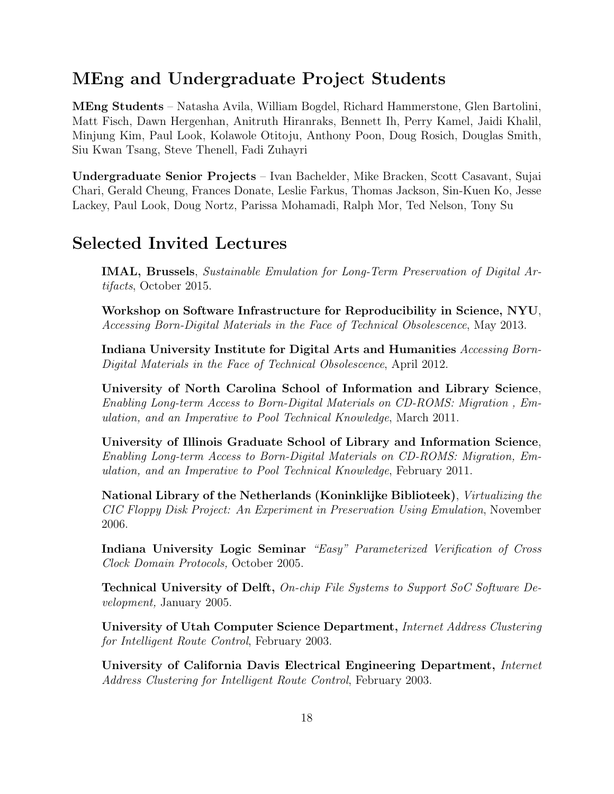#### MEng and Undergraduate Project Students

MEng Students – Natasha Avila, William Bogdel, Richard Hammerstone, Glen Bartolini, Matt Fisch, Dawn Hergenhan, Anitruth Hiranraks, Bennett Ih, Perry Kamel, Jaidi Khalil, Minjung Kim, Paul Look, Kolawole Otitoju, Anthony Poon, Doug Rosich, Douglas Smith, Siu Kwan Tsang, Steve Thenell, Fadi Zuhayri

Undergraduate Senior Projects – Ivan Bachelder, Mike Bracken, Scott Casavant, Sujai Chari, Gerald Cheung, Frances Donate, Leslie Farkus, Thomas Jackson, Sin-Kuen Ko, Jesse Lackey, Paul Look, Doug Nortz, Parissa Mohamadi, Ralph Mor, Ted Nelson, Tony Su

### Selected Invited Lectures

IMAL, Brussels, Sustainable Emulation for Long-Term Preservation of Digital Artifacts, October 2015.

Workshop on Software Infrastructure for Reproducibility in Science, NYU, Accessing Born-Digital Materials in the Face of Technical Obsolescence, May 2013.

Indiana University Institute for Digital Arts and Humanities Accessing Born-Digital Materials in the Face of Technical Obsolescence, April 2012.

University of North Carolina School of Information and Library Science, Enabling Long-term Access to Born-Digital Materials on CD-ROMS: Migration , Emulation, and an Imperative to Pool Technical Knowledge, March 2011.

University of Illinois Graduate School of Library and Information Science, Enabling Long-term Access to Born-Digital Materials on CD-ROMS: Migration, Emulation, and an Imperative to Pool Technical Knowledge, February 2011.

National Library of the Netherlands (Koninklijke Biblioteek), Virtualizing the CIC Floppy Disk Project: An Experiment in Preservation Using Emulation, November 2006.

Indiana University Logic Seminar "Easy" Parameterized Verification of Cross Clock Domain Protocols, October 2005.

Technical University of Delft, On-chip File Systems to Support SoC Software Development, January 2005.

University of Utah Computer Science Department, Internet Address Clustering for Intelligent Route Control, February 2003.

University of California Davis Electrical Engineering Department, Internet Address Clustering for Intelligent Route Control, February 2003.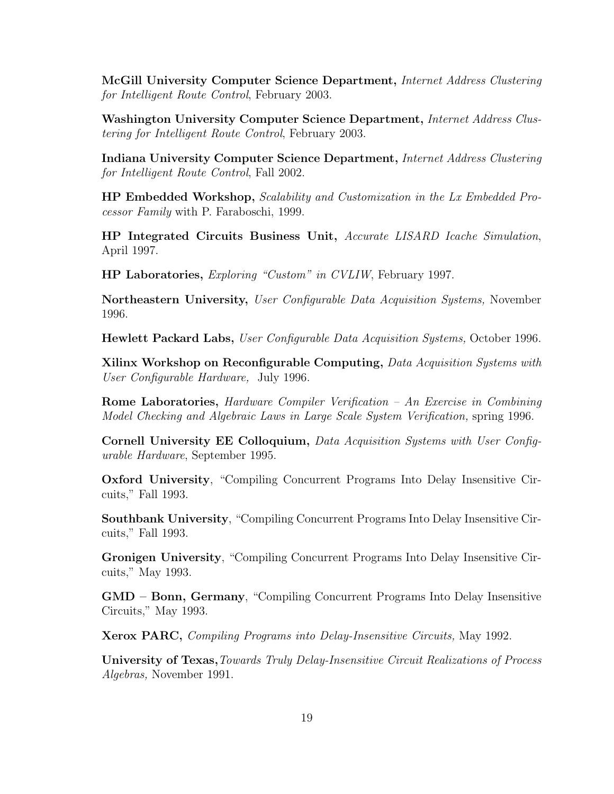McGill University Computer Science Department, Internet Address Clustering for Intelligent Route Control, February 2003.

Washington University Computer Science Department, *Internet Address Clus*tering for Intelligent Route Control, February 2003.

Indiana University Computer Science Department, Internet Address Clustering for Intelligent Route Control, Fall 2002.

HP Embedded Workshop, Scalability and Customization in the Lx Embedded Processor Family with P. Faraboschi, 1999.

HP Integrated Circuits Business Unit, Accurate LISARD Icache Simulation, April 1997.

HP Laboratories, Exploring "Custom" in CVLIW, February 1997.

Northeastern University, User Configurable Data Acquisition Systems, November 1996.

Hewlett Packard Labs, User Configurable Data Acquisition Systems, October 1996.

Xilinx Workshop on Reconfigurable Computing, Data Acquisition Systems with User Configurable Hardware, July 1996.

Rome Laboratories, Hardware Compiler Verification – An Exercise in Combining Model Checking and Algebraic Laws in Large Scale System Verification, spring 1996.

Cornell University EE Colloquium, Data Acquisition Systems with User Configurable Hardware, September 1995.

Oxford University, "Compiling Concurrent Programs Into Delay Insensitive Circuits," Fall 1993.

Southbank University, "Compiling Concurrent Programs Into Delay Insensitive Circuits," Fall 1993.

Gronigen University, "Compiling Concurrent Programs Into Delay Insensitive Circuits," May 1993.

GMD – Bonn, Germany, "Compiling Concurrent Programs Into Delay Insensitive Circuits," May 1993.

Xerox PARC, Compiling Programs into Delay-Insensitive Circuits, May 1992.

University of Texas, Towards Truly Delay-Insensitive Circuit Realizations of Process Algebras, November 1991.